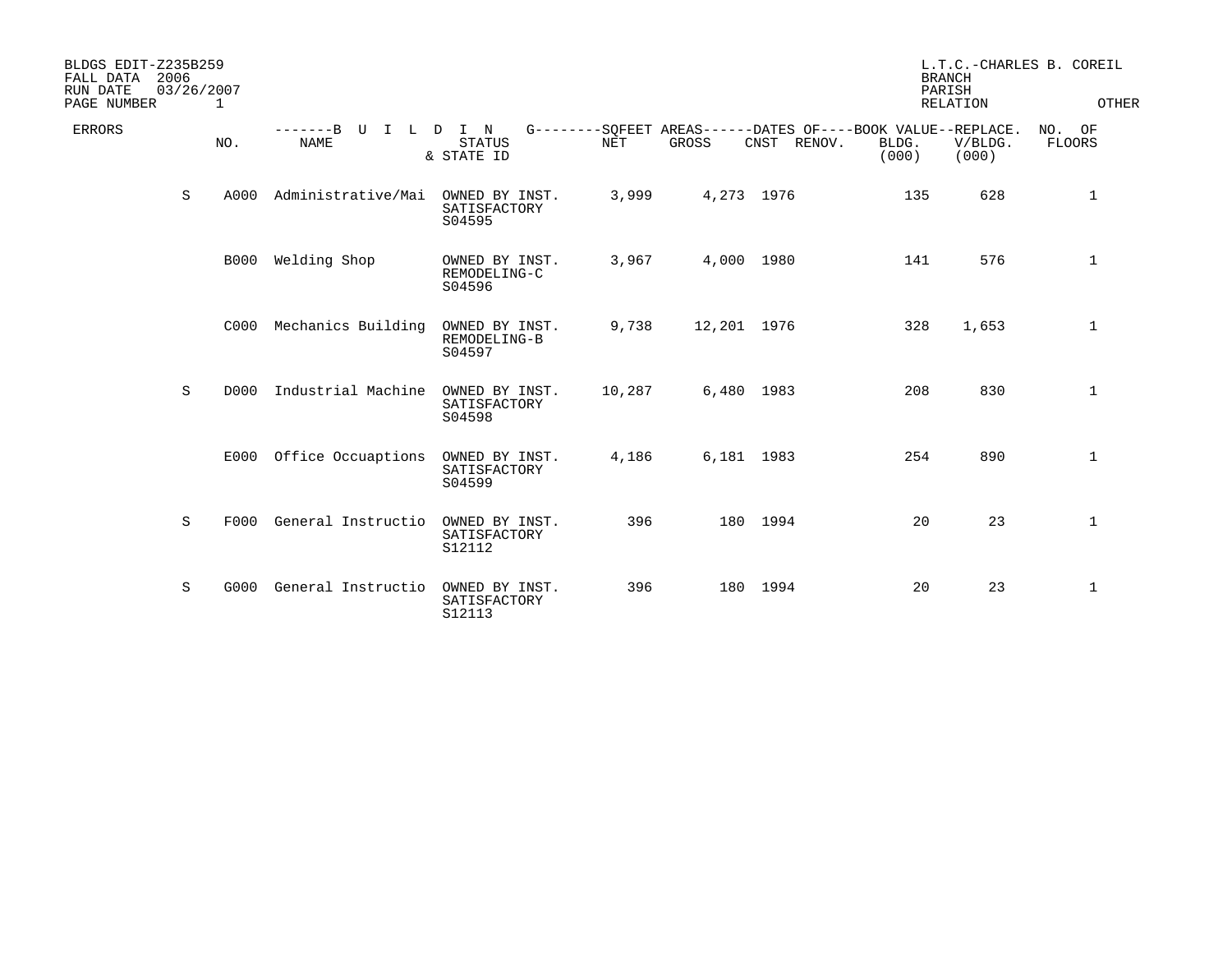| BLDGS EDIT-Z235B259<br>2006<br>FALL DATA<br>RUN DATE<br>03/26/2007<br>PAGE NUMBER | 1           |                                           |                                          |            |             |                | <b>BRANCH</b><br>PARISH                                                       | <b>RELATION</b>  | L.T.C.-CHARLES B. COREIL<br>OTHER |
|-----------------------------------------------------------------------------------|-------------|-------------------------------------------|------------------------------------------|------------|-------------|----------------|-------------------------------------------------------------------------------|------------------|-----------------------------------|
| <b>ERRORS</b>                                                                     | NO.         | -------B U<br>$\mathsf{T}$<br><b>NAME</b> | L D I N<br><b>STATUS</b><br>& STATE ID   | <b>NET</b> | GROSS       | CNST<br>RENOV. | G--------SOFEET AREAS------DATES OF----BOOK VALUE--REPLACE.<br>BLDG.<br>(000) | V/BLDG.<br>(000) | NO. OF<br>FLOORS                  |
| S                                                                                 | A000        | Administrative/Mai                        | OWNED BY INST.<br>SATISFACTORY<br>S04595 | 3,999      | 4,273 1976  |                | 135                                                                           | 628              | 1                                 |
|                                                                                   | <b>B000</b> | Welding Shop                              | OWNED BY INST.<br>REMODELING-C<br>S04596 | 3,967      | 4,000 1980  |                | 141                                                                           | 576              | 1                                 |
|                                                                                   | C000        | Mechanics Building                        | OWNED BY INST.<br>REMODELING-B<br>S04597 | 9,738      | 12,201 1976 |                | 328                                                                           | 1,653            | $\mathbf 1$                       |
| S                                                                                 | D000        | Industrial Machine                        | OWNED BY INST.<br>SATISFACTORY<br>S04598 | 10,287     | 6,480 1983  |                | 208                                                                           | 830              | 1                                 |
|                                                                                   | E000        | Office Occuaptions                        | OWNED BY INST.<br>SATISFACTORY<br>S04599 | 4,186      | 6,181 1983  |                | 254                                                                           | 890              | $\mathbf 1$                       |
| S                                                                                 | F000        | General Instructio                        | OWNED BY INST.<br>SATISFACTORY<br>S12112 | 396        |             | 180 1994       | 20                                                                            | 23               | $\mathbf{1}$                      |
| S                                                                                 | G000        | General Instructio                        | OWNED BY INST.<br>SATISFACTORY<br>S12113 | 396        |             | 180 1994       | 20                                                                            | 23               | 1                                 |